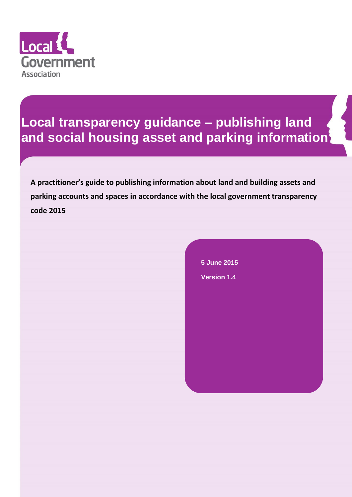

# **Local transparency guidance – publishing land and social housing asset and parking information**

**A practitioner's guide to publishing information about land and building assets and parking accounts and spaces in accordance with the local government transparency code 2015** 

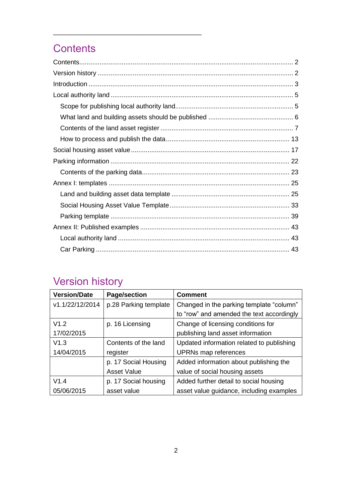# <span id="page-1-0"></span>**Contents**

\_\_\_\_\_\_\_\_\_\_\_\_\_\_\_\_\_\_\_\_\_\_\_\_\_\_\_\_\_\_\_\_\_\_\_\_\_\_\_\_\_

# <span id="page-1-1"></span>Version history

| <b>Version/Date</b> | <b>Page/section</b>   | <b>Comment</b>                            |
|---------------------|-----------------------|-------------------------------------------|
| v1.1/22/12/2014     | p.28 Parking template | Changed in the parking template "column"  |
|                     |                       | to "row" and amended the text accordingly |
| V1.2                | p. 16 Licensing       | Change of licensing conditions for        |
| 17/02/2015          |                       | publishing land asset information         |
| V1.3                | Contents of the land  | Updated information related to publishing |
| 14/04/2015          | register              | UPRNs map references                      |
|                     | p. 17 Social Housing  | Added information about publishing the    |
|                     | <b>Asset Value</b>    | value of social housing assets            |
| V1.4                | p. 17 Social housing  | Added further detail to social housing    |
| 05/06/2015          | asset value           | asset value guidance, including examples  |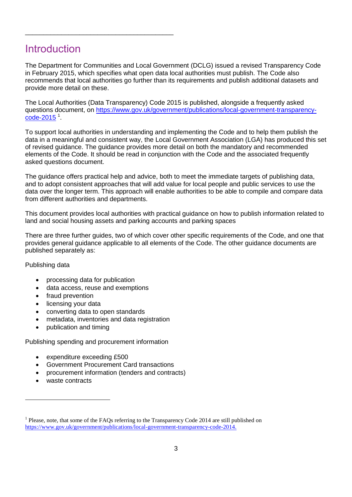# <span id="page-2-0"></span>**Introduction**

\_\_\_\_\_\_\_\_\_\_\_\_\_\_\_\_\_\_\_\_\_\_\_\_\_\_\_\_\_\_\_\_\_\_\_\_\_\_\_\_\_

The Department for Communities and Local Government (DCLG) issued a revised Transparency Code in February 2015, which specifies what open data local authorities must publish. The Code also recommends that local authorities go further than its requirements and publish additional datasets and provide more detail on these.

The Local Authorities (Data Transparency) Code 2015 is published, alongside a frequently asked questions document, on [https://www.gov.uk/government/publications/local-government-transparency](https://www.gov.uk/government/publications/local-government-transparency-code-2015).<sup>0</sup> [code-2015](https://www.gov.uk/government/publications/local-government-transparency-code-2015)

To support local authorities in understanding and implementing the Code and to help them publish the data in a meaningful and consistent way, the Local Government Association (LGA) has produced this set of revised guidance. The guidance provides more detail on both the mandatory and recommended elements of the Code. It should be read in conjunction with the Code and the associated frequently asked questions document.

The guidance offers practical help and advice, both to meet the immediate targets of publishing data, and to adopt consistent approaches that will add value for local people and public services to use the data over the longer term. This approach will enable authorities to be able to compile and compare data from different authorities and departments.

This document provides local authorities with practical guidance on how to publish information related to land and social housing assets and parking accounts and parking spaces

There are three further guides, two of which cover other specific requirements of the Code, and one that provides general guidance applicable to all elements of the Code. The other guidance documents are published separately as:

## Publishing data

- processing data for publication
- data access, reuse and exemptions
- fraud prevention
- licensing your data
- converting data to open standards
- metadata, inventories and data registration
- publication and timing

Publishing spending and procurement information

- expenditure exceeding £500
- Government Procurement Card transactions
- procurement information (tenders and contracts)
- waste contracts

 $\overline{a}$ 

<sup>&</sup>lt;sup>1</sup> Please, note, that some of the FAQs referring to the Transparency Code 2014 are still published on [https://www.gov.uk/government/publications/local-government-transparency-code-2014.](https://www.gov.uk/government/publications/local-government-transparency-code-2014)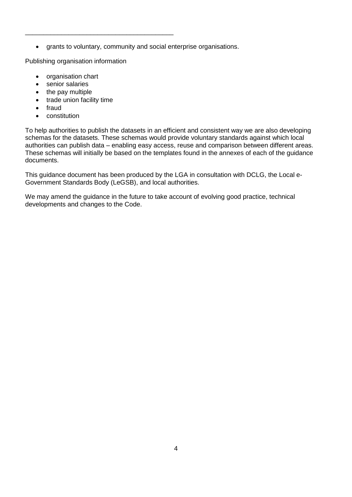grants to voluntary, community and social enterprise organisations.

Publishing organisation information

\_\_\_\_\_\_\_\_\_\_\_\_\_\_\_\_\_\_\_\_\_\_\_\_\_\_\_\_\_\_\_\_\_\_\_\_\_\_\_\_\_

- organisation chart
- senior salaries
- the pay multiple
- trade union facility time
- fraud
- constitution

To help authorities to publish the datasets in an efficient and consistent way we are also developing schemas for the datasets. These schemas would provide voluntary standards against which local authorities can publish data – enabling easy access, reuse and comparison between different areas. These schemas will initially be based on the templates found in the annexes of each of the guidance documents.

This guidance document has been produced by the LGA in consultation with DCLG, the Local e-Government Standards Body (LeGSB), and local authorities.

We may amend the guidance in the future to take account of evolving good practice, technical developments and changes to the Code.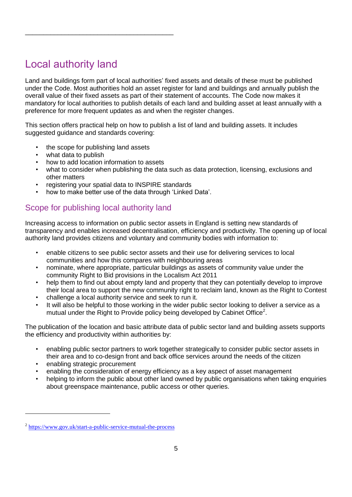# <span id="page-4-0"></span>Local authority land

Land and buildings form part of local authorities' fixed assets and details of these must be published under the Code. Most authorities hold an asset register for land and buildings and annually publish the overall value of their fixed assets as part of their statement of accounts. The Code now makes it mandatory for local authorities to publish details of each land and building asset at least annually with a preference for more frequent updates as and when the register changes.

This section offers practical help on how to publish a list of land and building assets. It includes suggested guidance and standards covering:

- the scope for publishing land assets
- what data to publish
- how to add location information to assets

\_\_\_\_\_\_\_\_\_\_\_\_\_\_\_\_\_\_\_\_\_\_\_\_\_\_\_\_\_\_\_\_\_\_\_\_\_\_\_\_\_

- what to consider when publishing the data such as data protection, licensing, exclusions and other matters
- registering your spatial data to INSPIRE standards
- how to make better use of the data through 'Linked Data'.

## <span id="page-4-1"></span>Scope for publishing local authority land

Increasing access to information on public sector assets in England is setting new standards of transparency and enables increased decentralisation, efficiency and productivity. The opening up of local authority land provides citizens and voluntary and community bodies with information to:

- enable citizens to see public sector assets and their use for delivering services to local communities and how this compares with neighbouring areas
- nominate, where appropriate, particular buildings as assets of community value under the community Right to Bid provisions in the Localism Act 2011
- help them to find out about empty land and property that they can potentially develop to improve their local area to support the new community right to reclaim land, known as the Right to Contest
- challenge a local authority service and seek to run it.
- It will also be helpful to those working in the wider public sector looking to deliver a service as a mutual under the Right to Provide policy being developed by Cabinet Office<sup>2</sup>.

The publication of the location and basic attribute data of public sector land and building assets supports the efficiency and productivity within authorities by:

- enabling public sector partners to work together strategically to consider public sector assets in their area and to co-design front and back office services around the needs of the citizen
- enabling strategic procurement

- enabling the consideration of energy efficiency as a key aspect of asset management
- helping to inform the public about other land owned by public organisations when taking enquiries about greenspace maintenance, public access or other queries.

<sup>&</sup>lt;sup>2</sup> <https://www.gov.uk/start-a-public-service-mutual-the-process>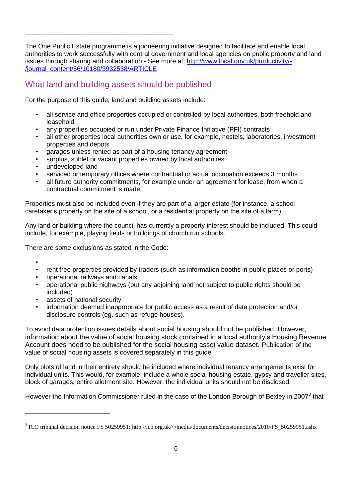The One Public Estate programme is a pioneering initiative designed to facilitate and enable local authorities to work successfully with central government and local agencies on public property and land issues through sharing and collaboration - See more at: [http://www.local.gov.uk/productivity/-](http://www.local.gov.uk/productivity/-/journal_content/56/10180/3932538/ARTICLE) [/journal\\_content/56/10180/3932538/ARTICLE](http://www.local.gov.uk/productivity/-/journal_content/56/10180/3932538/ARTICLE)

## <span id="page-5-0"></span>What land and building assets should be published

\_\_\_\_\_\_\_\_\_\_\_\_\_\_\_\_\_\_\_\_\_\_\_\_\_\_\_\_\_\_\_\_\_\_\_\_\_\_\_\_\_

For the purpose of this guide, land and building assets include:

- all service and office properties occupied or controlled by local authorities, both freehold and leasehold
- any properties occupied or run under Private Finance Initiative (PFI) contracts
- all other properties local authorities own or use, for example, hostels, laboratories, investment properties and depots
- garages unless rented as part of a housing tenancy agreement
- surplus, sublet or vacant properties owned by local authorities
- undeveloped land
- serviced or temporary offices where contractual or actual occupation exceeds 3 months
- all future authority commitments, for example under an agreement for lease, from when a contractual commitment is made.

Properties must also be included even if they are part of a larger estate (for instance, a school caretaker's property on the site of a school, or a residential property on the site of a farm).

Any land or building where the council has currently a property interest should be included. This could include, for example, playing fields or buildings of church run schools.

There are some exclusions as stated in the Code:

•

- rent free properties provided by traders (such as information booths in public places or ports)
- operational railways and canals
- operational public highways (but any adjoining land not subject to public rights should be included)
- assets of national security
- information deemed inappropriate for public access as a result of data protection and/or disclosure controls (eg. such as refuge houses).

To avoid data protection issues details about social housing should not be published. However, information about the value of social housing stock contained in a local authority's Housing Revenue Account does need to be published for the social housing asset value dataset. Publication of the value of social housing assets is covered separately in this guide

Only plots of land in their entirety should be included where individual tenancy arrangements exist for individual units. This would, for example, include a whole social housing estate, gypsy and traveller sites, block of garages, entire allotment site. However, the individual units should not be disclosed.

However the Information Commissioner ruled in the case of the London Borough of Bexley in 2007<sup>3</sup> that

<sup>&</sup>lt;sup>3</sup> ICO tribunal decision notice FS 50259951: http://ico.org.uk/~/media/documents/decisionnotices/2010/FS\_50259951.ashx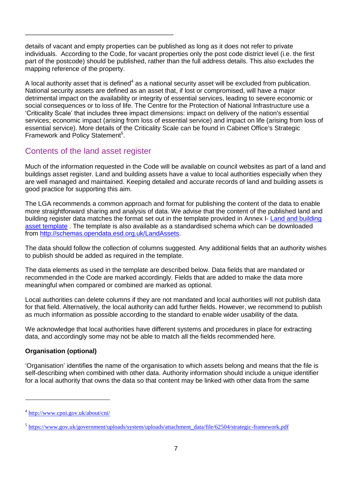details of vacant and empty properties can be published as long as it does not refer to private individuals. According to the Code, for vacant properties only the post code district level (i.e. the first part of the postcode) should be published, rather than the full address details. This also excludes the mapping reference of the property.

A local authority asset that is defined<sup>4</sup> as a national security asset will be excluded from publication. National security assets are defined as an asset that, if lost or compromised, will have a major detrimental impact on the availability or integrity of essential services, leading to severe economic or social consequences or to loss of life. The Centre for the Protection of National Infrastructure use a 'Criticality Scale' that includes three impact dimensions: impact on delivery of the nation's essential services; economic impact (arising from loss of essential service) and impact on life (arising from loss of essential service). More details of the Criticality Scale can be found in Cabinet Office's Strategic Framework and Policy Statement<sup>5</sup>.

## <span id="page-6-0"></span>Contents of the land asset register

\_\_\_\_\_\_\_\_\_\_\_\_\_\_\_\_\_\_\_\_\_\_\_\_\_\_\_\_\_\_\_\_\_\_\_\_\_\_\_\_\_

Much of the information requested in the Code will be available on council websites as part of a land and buildings asset register. Land and building assets have a value to local authorities especially when they are well managed and maintained. Keeping detailed and accurate records of land and building assets is good practice for supporting this aim.

The LGA recommends a common approach and format for publishing the content of the data to enable more straightforward sharing and analysis of data. We advise that the content of the published land and building register data matches the format set out in the template provided in Annex I- [Land and building](#page-24-1)  [asset template](#page-24-1) . The template is also available as a standardised schema which can be downloaded from [http://schemas.opendata.esd.org.uk/LandAssets.](http://schemas.opendata.esd.org.uk/LandAssets)

The data should follow the collection of columns suggested. Any additional fields that an authority wishes to publish should be added as required in the template.

The data elements as used in the template are described below. Data fields that are mandated or recommended in the Code are marked accordingly. Fields that are added to make the data more meaningful when compared or combined are marked as optional.

Local authorities can delete columns if they are not mandated and local authorities will not publish data for that field. Alternatively, the local authority can add further fields. However, we recommend to publish as much information as possible according to the standard to enable wider usability of the data.

We acknowledge that local authorities have different systems and procedures in place for extracting data, and accordingly some may not be able to match all the fields recommended here.

## <span id="page-6-1"></span>**Organisation (optional)**

'Organisation' identifies the name of the organisation to which assets belong and means that the file is self-describing when combined with other data. Authority information should include a unique identifier for a local authority that owns the data so that content may be linked with other data from the same

 $\overline{a}$ 

<sup>&</sup>lt;sup>4</sup> <http://www.cpni.gov.uk/about/cni/>

<sup>&</sup>lt;sup>5</sup> [https://www.gov.uk/government/uploads/system/uploads/attachment\\_data/file/62504/strategic-framework.pdf](https://www.gov.uk/government/uploads/system/uploads/attachment_data/file/62504/strategic-framework.pdf)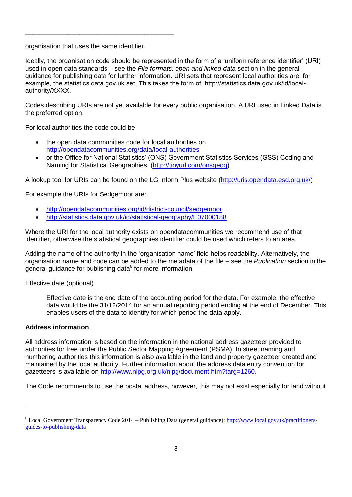organisation that uses the same identifier.

\_\_\_\_\_\_\_\_\_\_\_\_\_\_\_\_\_\_\_\_\_\_\_\_\_\_\_\_\_\_\_\_\_\_\_\_\_\_\_\_\_

Ideally, the organisation code should be represented in the form of a 'uniform reference identifier' (URI) used in open data standards – see the *File formats: open and linked data* section in the general guidance for publishing data for further information. URI sets that represent local authorities are, for example, the statistics.data.gov.uk set. This takes the form of: http://statistics.data.gov.uk/id/localauthority/XXXX.

Codes describing URIs are not yet available for every public organisation. A URI used in Linked Data is the preferred option.

For local authorities the code could be

- the open data communities code for local authorities on <http://opendatacommunities.org/data/local-authorities>
- or the Office for National Statistics' (ONS) Government Statistics Services (GSS) Coding and Naming for Statistical Geographies. [\(http://tinyurl.com/onsgeog\)](http://tinyurl.com/onsgeog)

A lookup tool for URIs can be found on the LG Inform Plus website [\(http://uris.opendata.esd.org.uk/\)](http://uris.opendata.esd.org.uk/)

For example the URIs for Sedgemoor are:

- <http://opendatacommunities.org/id/district-council/sedgemoor>
- <http://statistics.data.gov.uk/id/statistical-geography/E07000188>

Where the URI for the local authority exists on opendatacommunities we recommend use of that identifier, otherwise the statistical geographies identifier could be used which refers to an area.

Adding the name of the authority in the 'organisation name' field helps readability. Alternatively, the organisation name and code can be added to the metadata of the file – see the *Publication* section in the general guidance for publishing data<sup>6</sup> for more information.

Effective date (optional)

Effective date is the end date of the accounting period for the data. For example, the effective data would be the 31/12/2014 for an annual reporting period ending at the end of December. This enables users of the data to identify for which period the data apply.

## **Address information**

 $\overline{a}$ 

All address information is based on the information in the national address gazetteer provided to authorities for free under the Public Sector Mapping Agreement (PSMA). In street naming and numbering authorities this information is also available in the land and property gazetteer created and maintained by the local authority. Further information about the address data entry convention for gazetteers is available on [http://www.nlpg.org.uk/nlpg/document.htm?targ=1260.](http://www.nlpg.org.uk/nlpg/document.htm?targ=1260)

The Code recommends to use the postal address, however, this may not exist especially for land without

<sup>6</sup> Local Government Transparency Code 2014 – Publishing Data (general guidance): [http://www.local.gov.uk/practitioners](http://www.local.gov.uk/practitioners-guides-to-publishing-data)[guides-to-publishing-data](http://www.local.gov.uk/practitioners-guides-to-publishing-data)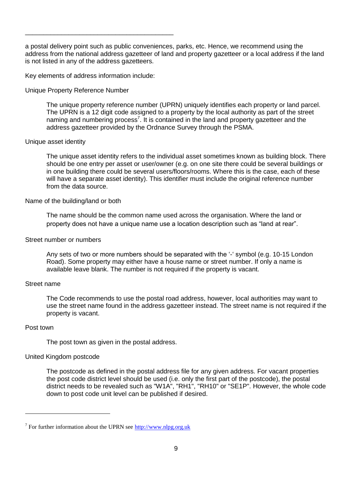a postal delivery point such as public conveniences, parks, etc. Hence, we recommend using the address from the national address gazetteer of land and property gazetteer or a local address if the land is not listed in any of the address gazetteers.

Key elements of address information include:

\_\_\_\_\_\_\_\_\_\_\_\_\_\_\_\_\_\_\_\_\_\_\_\_\_\_\_\_\_\_\_\_\_\_\_\_\_\_\_\_\_

Unique Property Reference Number

The unique property reference number (UPRN) uniquely identifies each property or land parcel. The UPRN is a 12 digit code assigned to a property by the local authority as part of the street naming and numbering process<sup>7</sup>. It is contained in the land and property gazetteer and the address gazetteer provided by the Ordnance Survey through the PSMA.

#### Unique asset identity

The unique asset identity refers to the individual asset sometimes known as building block. There should be one entry per asset or user/owner (e.g. on one site there could be several buildings or in one building there could be several users/floors/rooms. Where this is the case, each of these will have a separate asset identity). This identifier must include the original reference number from the data source.

#### Name of the building/land or both

The name should be the common name used across the organisation. Where the land or property does not have a unique name use a location description such as "land at rear".

#### Street number or numbers

Any sets of two or more numbers should be separated with the '-' symbol (e.g. 10-15 London Road). Some property may either have a house name or street number. If only a name is available leave blank. The number is not required if the property is vacant.

#### Street name

The Code recommends to use the postal road address, however, local authorities may want to use the street name found in the address gazetteer instead. The street name is not required if the property is vacant.

#### Post town

The post town as given in the postal address.

## United Kingdom postcode

The postcode as defined in the postal address file for any given address. For vacant properties the post code district level should be used (i.e. only the first part of the postcode), the postal district needs to be revealed such as "W1A", "RH1", "RH10" or "SE1P". However, the whole code down to post code unit level can be published if desired.

<sup>&</sup>lt;sup>7</sup> For further information about the UPRN see  $\frac{http://www.nlpg.org.uk}{http://www.nlpg.org.uk}$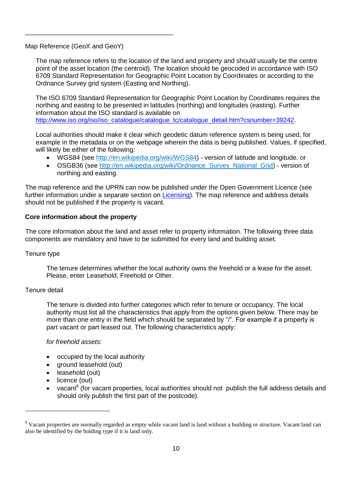Map Reference (GeoX and GeoY)

\_\_\_\_\_\_\_\_\_\_\_\_\_\_\_\_\_\_\_\_\_\_\_\_\_\_\_\_\_\_\_\_\_\_\_\_\_\_\_\_\_

The map reference refers to the location of the land and property and should usually be the centre point of the asset location (the centroid). The location should be geocoded in accordance with ISO 6709 Standard Representation for Geographic Point Location by Coordinates or according to the Ordnance Survey grid system (Easting and Northing).

The ISO 6709 Standard Representation for Geographic Point Location by Coordinates requires the northing and easting to be presented in latitudes (northing) and longitudes (easting). Further information about the ISO standard is available on [http://www.iso.org/iso/iso\\_catalogue/catalogue\\_tc/catalogue\\_detail.htm?csnumber=39242.](http://www.iso.org/iso/iso_catalogue/catalogue_tc/catalogue_detail.htm?csnumber=39242)

Local authorities should make it clear which geodetic datum reference system is being used, for example in the metadata or on the webpage wherein the data is being published. Values, if specified, will likely be either of the following:

- WGS84 (see [http://en.wikipedia.org/wiki/WGS84\)](http://en.wikipedia.org/wiki/WGS84) version of latitude and longitude. or
- OSGB36 (see [http://en.wikipedia.org/wiki/Ordnance\\_Survey\\_National\\_Grid\)](http://en.wikipedia.org/wiki/Ordnance_Survey_National_Grid) version of northing and easting.

The map reference and the UPRN can now be published under the Open Government Licence (see further information under a separate section on [Licensing\)](#page-14-0). The map reference and address details should not be published if the property is vacant.

## **Core information about the property**

The core information about the land and asset refer to property information. The following three data components are mandatory and have to be submitted for every land and building asset.

## Tenure type

The tenure determines whether the local authority owns the freehold or a lease for the asset. Please, enter Leasehold, Freehold or Other.

## Tenure detail

 $\overline{a}$ 

The tenure is divided into further categories which refer to tenure or occupancy. The local authority must list all the characteristics that apply from the options given below. There may be more than one entry in the field which should be separated by "/". For example if a property is part vacant or part leased out. The following characteristics apply:

*for freehold assets:*

- occupied by the local authority
- ground leasehold (out)
- leasehold (out)
- licence (out)
- vacant<sup>8</sup> (for vacant properties, local authorities should not publish the full address details and should only publish the first part of the postcode).

<sup>&</sup>lt;sup>8</sup> Vacant properties are normally regarded as empty while vacant land is land without a building or structure. Vacant land can also be identified by the holding type if it is land only.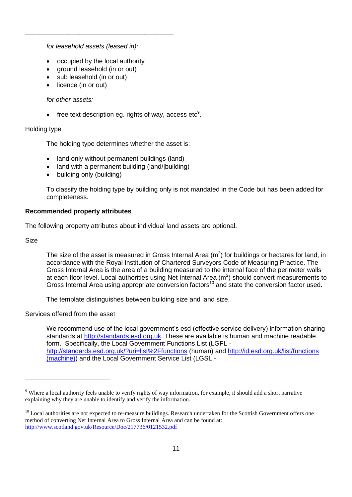*for leasehold assets (leased in):*

\_\_\_\_\_\_\_\_\_\_\_\_\_\_\_\_\_\_\_\_\_\_\_\_\_\_\_\_\_\_\_\_\_\_\_\_\_\_\_\_\_

- occupied by the local authority
- ground leasehold (in or out)
- sub leasehold (in or out)
- licence (in or out)

## *for other assets:*

• free text description eg. rights of way, access etc<sup>9</sup>.

## Holding type

The holding type determines whether the asset is:

- land only without permanent buildings (land)
- land with a permanent building (land/|building)
- building only (building)

To classify the holding type by building only is not mandated in the Code but has been added for completeness.

## **Recommended property attributes**

The following property attributes about individual land assets are optional.

Size

The size of the asset is measured in Gross Internal Area ( $m<sup>2</sup>$ ) for buildings or hectares for land, in accordance with the Royal Institution of Chartered Surveyors Code of Measuring Practice. The Gross Internal Area is the area of a building measured to the internal face of the perimeter walls at each floor level. Local authorities using Net Internal Area ( $m<sup>2</sup>$ ) should convert measurements to Gross Internal Area using appropriate conversion factors<sup>10</sup> and state the conversion factor used.

The template distinguishes between building size and land size.

Services offered from the asset

We recommend use of the local government's esd (effective service delivery) information sharing standards at [http://standards.esd.org.uk.](http://standards.esd.org.uk/) These are available is human and machine readable form. Specifically, the Local Government Functions List (LGFL <http://standards.esd.org.uk/?uri=list%2Ffunctions> (human) and<http://id.esd.org.uk/list/functions> (machine)) and the Local Government Service List (LGSL -

<sup>&</sup>lt;sup>9</sup> Where a local authority feels unable to verify rights of way information, for example, it should add a short narrative explaining why they are unable to identify and verify the information.

<sup>&</sup>lt;sup>10</sup> Local authorities are not expected to re-measure buildings. Research undertaken for the Scottish Government offers one method of converting Net Internal Area to Gross Internal Area and can be found at: <http://www.scotland.gov.uk/Resource/Doc/217736/0121532.pdf>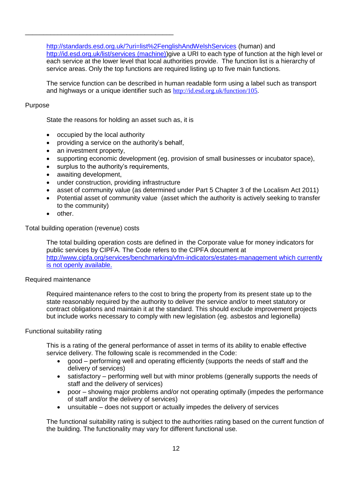<http://standards.esd.org.uk/?uri=list%2FenglishAndWelshServices> (human) and <http://id.esd.org.uk/list/services> (machine))give a URI to each type of function at the high level or each service at the lower level that local authorities provide. The function list is a hierarchy of service areas. Only the top functions are required listing up to five main functions.

The service function can be described in human readable form using a label such as transport and highways or a unique identifier such as [http://id.esd.org.uk/function/105.](http://id.esd.org.uk/function/105)

## Purpose

State the reasons for holding an asset such as, it is

occupied by the local authority

\_\_\_\_\_\_\_\_\_\_\_\_\_\_\_\_\_\_\_\_\_\_\_\_\_\_\_\_\_\_\_\_\_\_\_\_\_\_\_\_\_

- providing a service on the authority's behalf,
- an investment property,
- supporting economic development (eg. provision of small businesses or incubator space),
- surplus to the authority's requirements,
- awaiting development,
- under construction, providing infrastructure
- asset of community value (as determined under Part 5 Chapter 3 of the Localism Act 2011)
- Potential asset of community value (asset which the authority is actively seeking to transfer to the community)
- other.

Total building operation (revenue) costs

The total building operation costs are defined in the Corporate value for money indicators for public services by CIPFA. The Code refers to the CIPFA document at <http://www.cipfa.org/services/benchmarking/vfm-indicators/estates-management> which currently is not openly available.

## Required maintenance

Required maintenance refers to the cost to bring the property from its present state up to the state reasonably required by the authority to deliver the service and/or to meet statutory or contract obligations and maintain it at the standard. This should exclude improvement projects but include works necessary to comply with new legislation (eg. asbestos and legionella)

## Functional suitability rating

This is a rating of the general performance of asset in terms of its ability to enable effective service delivery. The following scale is recommended in the Code:

- good performing well and operating efficiently (supports the needs of staff and the delivery of services)
- satisfactory performing well but with minor problems (generally supports the needs of staff and the delivery of services)
- poor showing major problems and/or not operating optimally (impedes the performance of staff and/or the delivery of services)
- unsuitable does not support or actually impedes the delivery of services

The functional suitability rating is subject to the authorities rating based on the current function of the building. The functionality may vary for different functional use.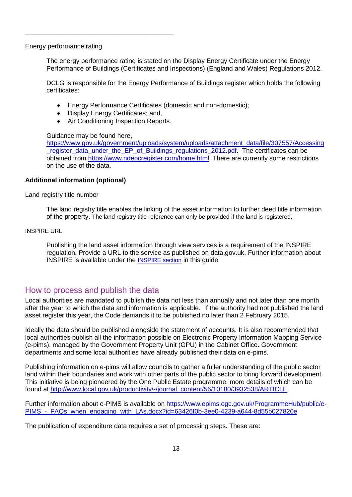Energy performance rating

The energy performance rating is stated on the Display Energy Certificate under the Energy Performance of Buildings (Certificates and Inspections) (England and Wales) Regulations 2012.

DCLG is responsible for the Energy Performance of Buildings register which holds the following certificates:

- Energy Performance Certificates (domestic and non-domestic);
- Display Energy Certificates; and,

\_\_\_\_\_\_\_\_\_\_\_\_\_\_\_\_\_\_\_\_\_\_\_\_\_\_\_\_\_\_\_\_\_\_\_\_\_\_\_\_\_

• Air Conditioning Inspection Reports.

Guidance may be found here,

[https://www.gov.uk/government/uploads/system/uploads/attachment\\_data/file/307557/Accessing](https://www.gov.uk/government/uploads/system/uploads/attachment_data/file/307557/Accessing_register_data_under_the_EP_of_Buildings_regulations_2012.pdf) register\_data\_under\_the\_EP\_of\_Buildings\_regulations\_2012.pdf. The certificates can be obtained from [https://www.ndepcregister.com/home.html.](https://www.ndepcregister.com/home.html) There are currently some restrictions on the use of the data.

## **Additional information (optional)**

Land registry title number

The land registry title enables the linking of the asset information to further deed title information of the property. The land registry title reference can only be provided if the land is registered.

#### INSPIRE URL

Publishing the land asset information through view services is a requirement of the INSPIRE regulation. Provide a URL to the service as published on data.gov.uk. Further information about INSPIRE is available under the [INSPIRE section](#page-14-1) in this guide.

## <span id="page-12-0"></span>How to process and publish the data

Local authorities are mandated to publish the data not less than annually and not later than one month after the year to which the data and information is applicable. If the authority had not published the land asset register this year, the Code demands it to be published no later than 2 February 2015.

Ideally the data should be published alongside the statement of accounts. It is also recommended that local authorities publish all the information possible on Electronic Property Information Mapping Service (e-pims), managed by the Government Property Unit (GPU) in the Cabinet Office. Government departments and some local authorities have already published their data on e-pims.

Publishing information on e-pims will allow councils to gather a fuller understanding of the public sector land within their boundaries and work with other parts of the public sector to bring forward development. This initiative is being pioneered by the One Public Estate programme, more details of which can be found at [http://www.local.gov.uk/productivity/-/journal\\_content/56/10180/3932538/ARTICLE.](http://www.local.gov.uk/productivity/-/journal_content/56/10180/3932538/ARTICLE)

Further information about e-PIMS is available on [https://www.epims.ogc.gov.uk/ProgrammeHub/public/e-](https://www.epims.ogc.gov.uk/ProgrammeHub/public/e-PIMS_-_FAQs_when_engaging_with_LAs.docx?id=63426f0b-3ee0-4239-a644-8d55b027820e)PIMS - FAQs when engaging with LAs.docx?id=63426f0b-3ee0-4239-a644-8d55b027820e

The publication of expenditure data requires a set of processing steps. These are: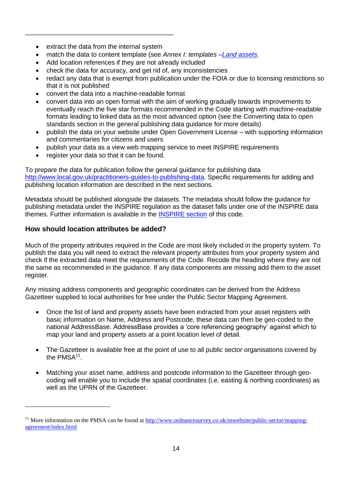extract the data from the internal system

\_\_\_\_\_\_\_\_\_\_\_\_\_\_\_\_\_\_\_\_\_\_\_\_\_\_\_\_\_\_\_\_\_\_\_\_\_\_\_\_\_

- match the data to content template (see *Annex I: templates [–Land assets](#page-24-1)*.
- Add location references if they are not already included
- check the data for accuracy, and get rid of, any inconsistencies
- redact any data that is exempt from publication under the FOIA or due to licensing restrictions so that it is not published
- convert the data into a machine-readable format
- convert data into an open format with the aim of working gradually towards improvements to eventually reach the five star formats recommended in the Code starting with machine-readable formats leading to linked data as the most advanced option (see the Converting data to open standards section in the general publishing data guidance for more details)
- publish the data on your website under Open Government License with supporting information and commentaries for citizens and users
- publish your data as a view web mapping service to meet INSPIRE requirements
- register your data so that it can be found.

To prepare the data for publication follow the general guidance for publishing data [http://www.local.gov.uk/practitioners-guides-to-publishing-data.](http://www.local.gov.uk/practitioners-guides-to-publishing-data) Specific requirements for adding and publishing location information are described in the next sections.

Metadata should be published alongside the datasets. The metadata should follow the guidance for publishing metadata under the INSPIRE regulation as the dataset falls under one of the INSPIRE data themes. Further information is available in the [INSPIRE section](#page-14-1) of this code.

## **How should location attributes be added?**

 $\overline{a}$ 

Much of the property attributes required in the Code are most likely included in the property system. To publish the data you will need to extract the relevant property attributes from your property system and check if the extracted data meet the requirements of the Code. Recode the heading where they are not the same as recommended in the guidance. If any data components are missing add them to the asset register.

Any missing address components and geographic coordinates can be derived from the Address Gazetteer supplied to local authorities for free under the Public Sector Mapping Agreement.

- Once the list of land and property assets have been extracted from your asset registers with basic information on Name, Address and Postcode, these data can then be geo-coded to the national AddressBase. AddressBase provides a 'core referencing geography' against which to map your land and property assets at a point location level of detail.
- The Gazetteer is available free at the point of use to all public sector organisations covered by the  $PMSA<sup>11</sup>$ .
- Matching your asset name, address and postcode information to the Gazetteer through geocoding will enable you to include the spatial coordinates (i.e. easting & northing coordinates) as well as the UPRN of the Gazetteer.

<sup>&</sup>lt;sup>11</sup> More information on the PMSA can be found at  $\frac{http://www.ordnancesurvey.co.uk/oswebsite/public-section/mapping$ [agreement/index.html](http://www.ordnancesurvey.co.uk/oswebsite/public-sector/mapping-agreement/index.html)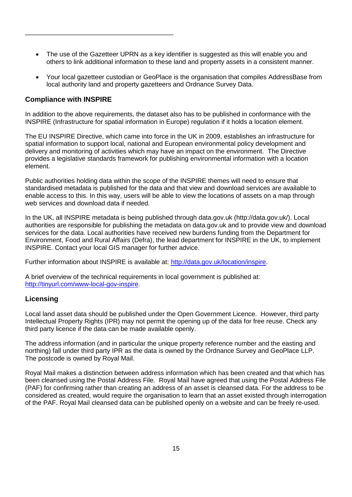- The use of the Gazetteer UPRN as a key identifier is suggested as this will enable you and others to link additional information to these land and property assets in a consistent manner.
- Your local gazetteer custodian or GeoPlace is the organisation that compiles AddressBase from local authority land and property gazetteers and Ordnance Survey Data.

## <span id="page-14-1"></span>**Compliance with INSPIRE**

\_\_\_\_\_\_\_\_\_\_\_\_\_\_\_\_\_\_\_\_\_\_\_\_\_\_\_\_\_\_\_\_\_\_\_\_\_\_\_\_\_

In addition to the above requirements, the dataset also has to be published in conformance with the INSPIRE (Infrastructure for spatial information in Europe) regulation if it holds a location element.

The EU INSPIRE Directive, which came into force in the UK in 2009, establishes an infrastructure for spatial information to support local, national and European environmental policy development and delivery and monitoring of activities which may have an impact on the environment. The Directive provides a legislative standards framework for publishing environmental information with a location element.

Public authorities holding data within the scope of the INSPIRE themes will need to ensure that standardised metadata is published for the data and that view and download services are available to enable access to this. In this way, users will be able to view the locations of assets on a map through web services and download data if needed.

In the UK, all INSPIRE metadata is being published through data.gov.uk [\(http://data.gov.uk/\)](http://data.gov.uk/). Local authorities are responsible for publishing the metadata on data.gov.uk and to provide view and download services for the data. Local authorities have received new burdens funding from the Department for Environment, Food and Rural Affairs (Defra), the lead department for INSPIRE in the UK, to implement INSPIRE. Contact your local GIS manager for further advice.

Further information about INSPIRE is available at: [http://data.gov.uk/location/inspire.](http://data.gov.uk/location/inspire)

A brief overview of the technical requirements in local government is published at: [http://tinyurl.com/www-local-gov-inspire.](http://tinyurl.com/www-local-gov-inspire)

## <span id="page-14-0"></span>**Licensing**

Local land asset data should be published under the Open Government Licence. However, third party Intellectual Property Rights (IPR) may not permit the opening up of the data for free reuse. Check any third party licence if the data can be made available openly.

The address information (and in particular the unique property reference number and the easting and northing) fall under third party IPR as the data is owned by the Ordnance Survey and GeoPlace LLP. The postcode is owned by Royal Mail.

Royal Mail makes a distinction between address information which has been created and that which has been cleansed using the Postal Address File. Royal Mail have agreed that using the Postal Address File (PAF) for confirming rather than creating an address of an asset is cleansed data. For the address to be considered as created, would require the organisation to learn that an asset existed through interrogation of the PAF. Royal Mail cleansed data can be published openly on a website and can be freely re-used.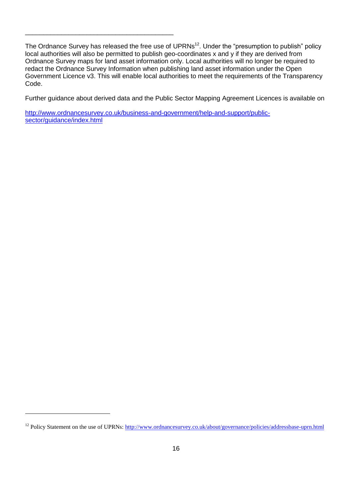The Ordnance Survey has released the free use of UPRNs<sup>12</sup>. Under the "presumption to publish" policy local authorities will also be permitted to publish geo-coordinates x and y if they are derived from Ordnance Survey maps for land asset information only. Local authorities will no longer be required to redact the Ordnance Survey Information when publishing land asset information under the Open Government Licence v3. This will enable local authorities to meet the requirements of the Transparency Code.

Further guidance about derived data and the Public Sector Mapping Agreement Licences is available on

[http://www.ordnancesurvey.co.uk/business-and-government/help-and-support/public](http://www.ordnancesurvey.co.uk/business-and-government/help-and-support/public-sector/guidance/index.html)[sector/guidance/index.html](http://www.ordnancesurvey.co.uk/business-and-government/help-and-support/public-sector/guidance/index.html)

\_\_\_\_\_\_\_\_\_\_\_\_\_\_\_\_\_\_\_\_\_\_\_\_\_\_\_\_\_\_\_\_\_\_\_\_\_\_\_\_\_

<sup>&</sup>lt;sup>12</sup> Policy Statement on the use of UPRNs:<http://www.ordnancesurvey.co.uk/about/governance/policies/addressbase-uprn.html>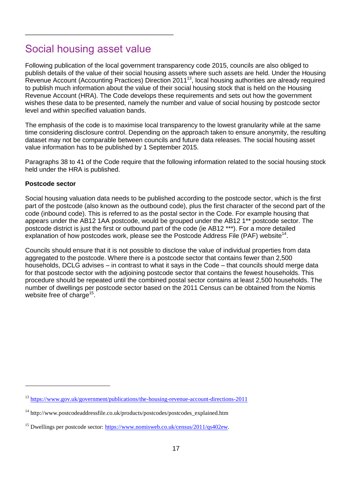## <span id="page-16-0"></span>Social housing asset value

\_\_\_\_\_\_\_\_\_\_\_\_\_\_\_\_\_\_\_\_\_\_\_\_\_\_\_\_\_\_\_\_\_\_\_\_\_\_\_\_\_

Following publication of the local government transparency code 2015, councils are also obliged to publish details of the value of their social housing assets where such assets are held. Under the Housing Revenue Account (Accounting Practices) Direction 2011<sup>13</sup>, local housing authorities are already required to publish much information about the value of their social housing stock that is held on the Housing Revenue Account (HRA). The Code develops these requirements and sets out how the government wishes these data to be presented, namely the number and value of social housing by postcode sector level and within specified valuation bands.

The emphasis of the code is to maximise local transparency to the lowest granularity while at the same time considering disclosure control. Depending on the approach taken to ensure anonymity, the resulting dataset may not be comparable between councils and future data releases. The social housing asset value information has to be published by 1 September 2015.

Paragraphs 38 to 41 of the Code require that the following information related to the social housing stock held under the HRA is published.

## **Postcode sector**

 $\overline{a}$ 

Social housing valuation data needs to be published according to the postcode sector, which is the first part of the postcode (also known as the outbound code), plus the first character of the second part of the code (inbound code). This is referred to as the postal sector in the Code. For example housing that appears under the AB12 1AA postcode, would be grouped under the AB12 1\*\* postcode sector. The postcode district is just the first or outbound part of the code (ie AB12 \*\*\*). For a more detailed explanation of how postcodes work, please see the Postcode Address File (PAF) website<sup>14</sup>.

Councils should ensure that it is not possible to disclose the value of individual properties from data aggregated to the postcode. Where there is a postcode sector that contains fewer than 2,500 households, DCLG advises – in contrast to what it says in the Code – that councils should merge data for that postcode sector with the adjoining postcode sector that contains the fewest households. This procedure should be repeated until the combined postal sector contains at least 2,500 households. The number of dwellings per postcode sector based on the 2011 Census can be obtained from the Nomis website free of charge<sup>15</sup>.

<sup>13</sup> <https://www.gov.uk/government/publications/the-housing-revenue-account-directions-2011>

 $14 \text{ http://www.postcodeaddressfile.co.uk/products/postcodes/postcodesexplained.htm}$ 

<sup>&</sup>lt;sup>15</sup> Dwellings per postcode sector[: https://www.nomisweb.co.uk/census/2011/qs402ew.](https://www.nomisweb.co.uk/census/2011/qs402ew)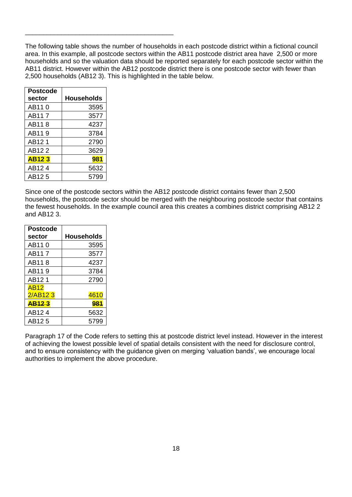The following table shows the number of households in each postcode district within a fictional council area. In this example, all postcode sectors within the AB11 postcode district area have 2,500 or more households and so the valuation data should be reported separately for each postcode sector within the AB11 district. However within the AB12 postcode district there is one postcode sector with fewer than 2,500 households (AB12 3). This is highlighted in the table below.

| Postcode           |                   |
|--------------------|-------------------|
| sector             | <b>Households</b> |
| AB11 0             | 3595              |
| AB117              | 3577              |
| AB118              | 4237              |
| AB119              | 3784              |
| AB121              | 2790              |
| AB122              | 3629              |
| <b>AB123</b>       | 981               |
| AB <sub>12</sub> 4 | 5632              |
| AB12.5             | 5799              |

\_\_\_\_\_\_\_\_\_\_\_\_\_\_\_\_\_\_\_\_\_\_\_\_\_\_\_\_\_\_\_\_\_\_\_\_\_\_\_\_\_

Since one of the postcode sectors within the AB12 postcode district contains fewer than 2,500 households, the postcode sector should be merged with the neighbouring postcode sector that contains the fewest households. In the example council area this creates a combines district comprising AB12 2 and AB12 3.

| <b>Postcode</b><br>sector | Households |
|---------------------------|------------|
| AB11 0                    | 3595       |
| AB117                     | 3577       |
| AB11 8                    | 4237       |
| AB119                     | 3784       |
| AB121                     | 2790       |
| AB12                      |            |
| 2/AB123                   | 4610       |
| <b>AB123</b>              | 981        |
| AB <sub>12</sub> 4        | 5632       |
| AB12.5                    | 5799       |

Paragraph 17 of the Code refers to setting this at postcode district level instead. However in the interest of achieving the lowest possible level of spatial details consistent with the need for disclosure control, and to ensure consistency with the guidance given on merging 'valuation bands', we encourage local authorities to implement the above procedure.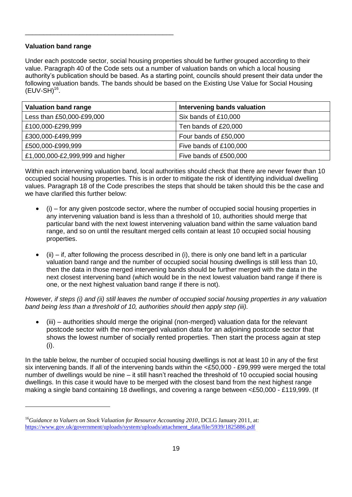## **Valuation band range**

 $\overline{a}$ 

\_\_\_\_\_\_\_\_\_\_\_\_\_\_\_\_\_\_\_\_\_\_\_\_\_\_\_\_\_\_\_\_\_\_\_\_\_\_\_\_\_

Under each postcode sector, social housing properties should be further grouped according to their value. Paragraph 40 of the Code sets out a number of valuation bands on which a local housing authority's publication should be based. As a starting point, councils should present their data under the following valuation bands. The bands should be based on the Existing Use Value for Social Housing  $(EUV-SH)^{16}$ .

| Valuation band range             | Intervening bands valuation |
|----------------------------------|-----------------------------|
| Less than £50,000-£99,000        | Six bands of £10,000        |
| £100,000-£299,999                | Ten bands of £20,000        |
| £300,000-£499,999                | Four bands of £50,000       |
| £500,000-£999,999                | Five bands of £100,000      |
| £1,000,000-£2,999,999 and higher | Five bands of £500,000      |

Within each intervening valuation band, local authorities should check that there are never fewer than 10 occupied social housing properties. This is in order to mitigate the risk of identifying individual dwelling values. Paragraph 18 of the Code prescribes the steps that should be taken should this be the case and we have clarified this further below:

- (i) for any given postcode sector, where the number of occupied social housing properties in any intervening valuation band is less than a threshold of 10, authorities should merge that particular band with the next lowest intervening valuation band within the same valuation band range, and so on until the resultant merged cells contain at least 10 occupied social housing properties.
- (ii) if, after following the process described in (i), there is only one band left in a particular valuation band range and the number of occupied social housing dwellings is still less than 10, then the data in those merged intervening bands should be further merged with the data in the next closest intervening band (which would be in the next lowest valuation band range if there is one, or the next highest valuation band range if there is not).

*However, if steps (i) and (ii) still leaves the number of occupied social housing properties in any valuation band being less than a threshold of 10, authorities should then apply step (iii).*

 (iii) – authorities should merge the original (non-merged) valuation data for the relevant postcode sector with the non-merged valuation data for an adjoining postcode sector that shows the lowest number of socially rented properties. Then start the process again at step (i).

In the table below, the number of occupied social housing dwellings is not at least 10 in any of the first six intervening bands. If all of the intervening bands within the <£50,000 - £99,999 were merged the total number of dwellings would be nine – it still hasn't reached the threshold of 10 occupied social housing dwellings. In this case it would have to be merged with the closest band from the next highest range making a single band containing 18 dwellings, and covering a range between <£50,000 - £119,999. (If

<sup>&</sup>lt;sup>16</sup>Guidance to Valuers on Stock Valuation for Resource Accounting 2010, DCLG January 2011, at: [https://www.gov.uk/government/uploads/system/uploads/attachment\\_data/file/5939/1825886.pdf](https://www.gov.uk/government/uploads/system/uploads/attachment_data/file/5939/1825886.pdf)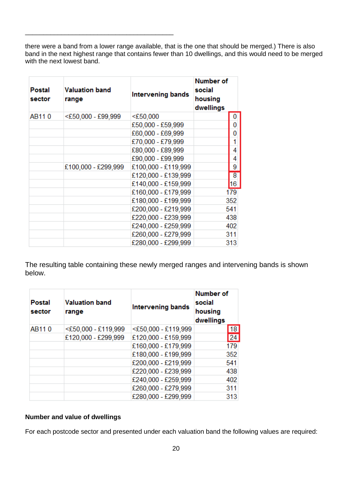there were a band from a lower range available, that is the one that should be merged.) There is also band in the next highest range that contains fewer than 10 dwellings, and this would need to be merged with the next lowest band.

| <b>Postal</b><br>sector | <b>Valuation band</b><br>range | Intervening bands   | <b>Number of</b><br>social<br>housing<br>dwellings |                 |
|-------------------------|--------------------------------|---------------------|----------------------------------------------------|-----------------|
| AB110                   | <£50,000 - £99,999             | $<$ £50,000         |                                                    | 0               |
|                         |                                | £50,000 - £59,999   |                                                    | 0               |
|                         |                                | £60,000 - £69,999   |                                                    | 0               |
|                         |                                | £70,000 - £79,999   |                                                    |                 |
|                         |                                | £80,000 - £89,999   |                                                    | 4               |
|                         |                                | £90,000 - £99,999   |                                                    | 4               |
|                         | £100,000 - £299,999            | £100,000 - £119,999 |                                                    | 9               |
|                         |                                | £120,000 - £139,999 |                                                    | $\overline{8}$  |
|                         |                                | £140,000 - £159,999 |                                                    | 16 <sup>°</sup> |
|                         |                                | £160,000 - £179,999 |                                                    | 179             |
|                         |                                | £180,000 - £199,999 |                                                    | 352             |
|                         |                                | £200,000 - £219,999 |                                                    | 541             |
|                         |                                | £220,000 - £239,999 |                                                    | 438             |
|                         |                                | £240,000 - £259,999 |                                                    | 402             |
|                         |                                | £260,000 - £279,999 |                                                    | 311             |
|                         |                                | £280,000 - £299,999 |                                                    | 313             |

\_\_\_\_\_\_\_\_\_\_\_\_\_\_\_\_\_\_\_\_\_\_\_\_\_\_\_\_\_\_\_\_\_\_\_\_\_\_\_\_\_

The resulting table containing these newly merged ranges and intervening bands is shown below.

| <b>Postal</b><br>sector | <b>Valuation band</b><br>range | Intervening bands   | <b>Number of</b><br>social<br>housing<br>dwellings |
|-------------------------|--------------------------------|---------------------|----------------------------------------------------|
| AB110                   | $<$ £50,000 - £119,999         | <£50,000 - £119,999 | 18                                                 |
|                         | £120,000 - £299,999            | £120,000 - £159,999 | 24                                                 |
|                         |                                | £160,000 - £179,999 | 179                                                |
|                         |                                | £180,000 - £199,999 | 352                                                |
|                         |                                | £200,000 - £219,999 | 541                                                |
|                         |                                | £220,000 - £239,999 | 438                                                |
|                         |                                | £240,000 - £259,999 | 402                                                |
|                         |                                | £260,000 - £279,999 | 311                                                |
|                         |                                | £280,000 - £299,999 | 313                                                |

## **Number and value of dwellings**

For each postcode sector and presented under each valuation band the following values are required: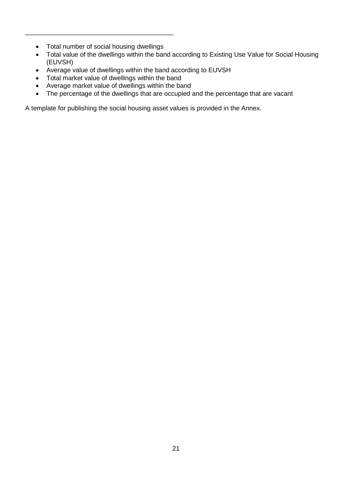Total number of social housing dwellings

\_\_\_\_\_\_\_\_\_\_\_\_\_\_\_\_\_\_\_\_\_\_\_\_\_\_\_\_\_\_\_\_\_\_\_\_\_\_\_\_\_

- Total value of the dwellings within the band according to Existing Use Value for Social Housing (EUVSH)
- Average value of dwellings within the band according to EUVSH
- Total market value of dwellings within the band
- Average market value of dwellings within the band
- The percentage of the dwellings that are occupied and the percentage that are vacant

A template for publishing the social housing asset values is provided in the Annex.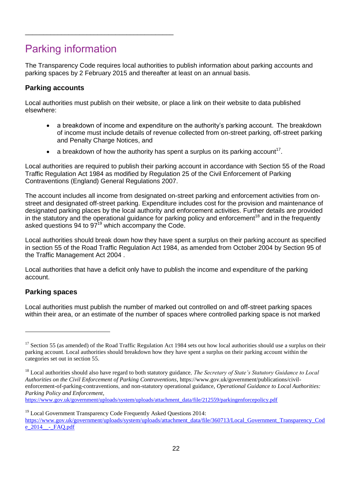# <span id="page-21-0"></span>Parking information

\_\_\_\_\_\_\_\_\_\_\_\_\_\_\_\_\_\_\_\_\_\_\_\_\_\_\_\_\_\_\_\_\_\_\_\_\_\_\_\_\_

The Transparency Code requires local authorities to publish information about parking accounts and parking spaces by 2 February 2015 and thereafter at least on an annual basis.

## **Parking accounts**

Local authorities must publish on their website, or place a link on their website to data published elsewhere:

- a breakdown of income and expenditure on the authority's parking account. The breakdown of income must include details of revenue collected from on-street parking, off-street parking and Penalty Charge Notices, and
- a breakdown of how the authority has spent a surplus on its parking account<sup>17</sup>.

Local authorities are required to publish their parking account in accordance with Section 55 of the Road Traffic Regulation Act 1984 as modified by Regulation 25 of the Civil Enforcement of Parking Contraventions (England) General Regulations 2007.

The account includes all income from designated on-street parking and enforcement activities from onstreet and designated off-street parking. Expenditure includes cost for the provision and maintenance of designated parking places by the local authority and enforcement activities. Further details are provided in the statutory and the operational guidance for parking policy and enforcement<sup>18</sup> and in the frequently asked questions 94 to 97<sup>19</sup> which accompany the Code.

Local authorities should break down how they have spent a surplus on their parking account as specified in section 55 of the Road Traffic Regulation Act 1984, as amended from October 2004 by Section 95 of the Traffic Management Act 2004 .

Local authorities that have a deficit only have to publish the income and expenditure of the parking account.

## **Parking spaces**

 $\overline{a}$ 

Local authorities must publish the number of marked out controlled on and off-street parking spaces within their area, or an estimate of the number of spaces where controlled parking space is not marked

[https://www.gov.uk/government/uploads/system/uploads/attachment\\_data/file/212559/parkingenforcepolicy.pdf](https://www.gov.uk/government/uploads/system/uploads/attachment_data/file/212559/parkingenforcepolicy.pdf)

 $17$  Section 55 (as amended) of the Road Traffic Regulation Act 1984 sets out how local authorities should use a surplus on their parking account. Local authorities should breakdown how they have spent a surplus on their parking account within the categories set out in section 55.

<sup>18</sup> Local authorities should also have regard to both statutory guidance*, The Secretary of State's Statutory Guidance to Local Authorities on the Civil Enforcement of Parking Contraventions*, https://www.gov.uk/government/publications/civilenforcement-of-parking-contraventions, and non-statutory operational guidance, *Operational Guidance to Local Authorities: Parking Policy and Enforcement*,

<sup>&</sup>lt;sup>19</sup> Local Government Transparency Code Frequently Asked Questions 2014: [https://www.gov.uk/government/uploads/system/uploads/attachment\\_data/file/360713/Local\\_Government\\_Transparency\\_Cod](https://www.gov.uk/government/uploads/system/uploads/attachment_data/file/360713/Local_Government_Transparency_Code_2014__-_FAQ.pdf)  $e$  2014 - FAO.pdf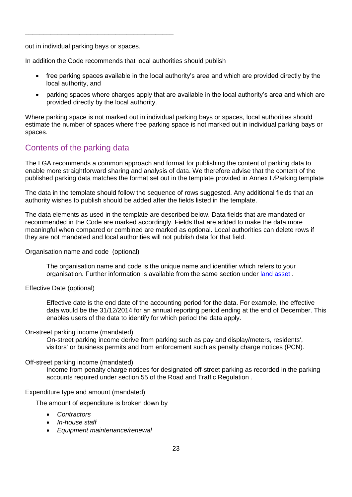out in individual parking bays or spaces.

\_\_\_\_\_\_\_\_\_\_\_\_\_\_\_\_\_\_\_\_\_\_\_\_\_\_\_\_\_\_\_\_\_\_\_\_\_\_\_\_\_

In addition the Code recommends that local authorities should publish

- free parking spaces available in the local authority's area and which are provided directly by the local authority, and
- parking spaces where charges apply that are available in the local authority's area and which are provided directly by the local authority.

Where parking space is not marked out in individual parking bays or spaces, local authorities should estimate the number of spaces where free parking space is not marked out in individual parking bays or spaces.

## <span id="page-22-0"></span>Contents of the parking data

The LGA recommends a common approach and format for publishing the content of parking data to enable more straightforward sharing and analysis of data. We therefore advise that the content of the published parking data matches the format set out in the template provided in Annex I */*[Parking template](#page-38-0)

The data in the template should follow the sequence of rows suggested. Any additional fields that an authority wishes to publish should be added after the fields listed in the template.

The data elements as used in the template are described below. Data fields that are mandated or recommended in the Code are marked accordingly. Fields that are added to make the data more meaningful when compared or combined are marked as optional. Local authorities can delete rows if they are not mandated and local authorities will not publish data for that field.

Organisation name and code (optional)

The organisation name and code is the unique name and identifier which refers to your organisation. Further information is available from the same section under [land asset](#page-6-1).

Effective Date (optional)

Effective date is the end date of the accounting period for the data. For example, the effective data would be the 31/12/2014 for an annual reporting period ending at the end of December. This enables users of the data to identify for which period the data apply.

## On-street parking income (mandated)

On-street parking income derive from parking such as pay and display/meters, residents', visitors' or business permits and from enforcement such as penalty charge notices (PCN).

## Off-street parking income (mandated)

Income from penalty charge notices for designated off-street parking as recorded in the parking accounts required under section 55 of the Road and Traffic Regulation .

## Expenditure type and amount (mandated)

The amount of expenditure is broken down by

- *Contractors*
- *In-house staff*
- *Equipment maintenance/renewal*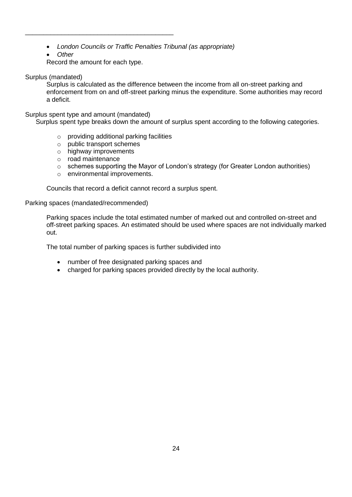- *London Councils or Traffic Penalties Tribunal (as appropriate)*
- *Other*

Record the amount for each type.

\_\_\_\_\_\_\_\_\_\_\_\_\_\_\_\_\_\_\_\_\_\_\_\_\_\_\_\_\_\_\_\_\_\_\_\_\_\_\_\_\_

## Surplus (mandated)

Surplus is calculated as the difference between the income from all on-street parking and enforcement from on and off-street parking minus the expenditure. Some authorities may record a deficit.

## Surplus spent type and amount (mandated)

Surplus spent type breaks down the amount of surplus spent according to the following categories.

- o providing additional parking facilities
- o public transport schemes
- o highway improvements
- o road maintenance
- o schemes supporting the Mayor of London's strategy (for Greater London authorities)
- o environmental improvements.

Councils that record a deficit cannot record a surplus spent.

Parking spaces (mandated/recommended)

Parking spaces include the total estimated number of marked out and controlled on-street and off-street parking spaces. An estimated should be used where spaces are not individually marked out.

The total number of parking spaces is further subdivided into

- number of free designated parking spaces and
- charged for parking spaces provided directly by the local authority.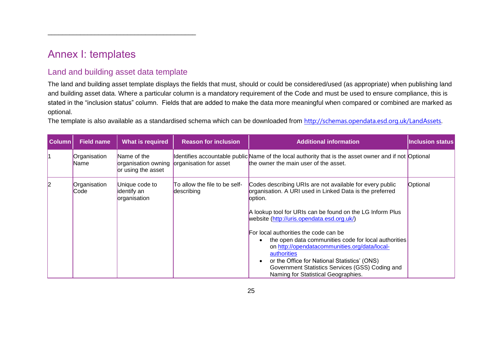# Annex I: templates

## Land and building asset data template

\_\_\_\_\_\_\_\_\_\_\_\_\_\_\_\_\_\_\_\_\_\_\_\_\_\_\_\_\_\_\_\_\_\_\_\_\_\_\_\_\_

The land and building asset template displays the fields that must, should or could be considered/used (as appropriate) when publishing land and building asset data. Where a particular column is a mandatory requirement of the Code and must be used to ensure compliance, this is stated in the "inclusion status" column. Fields that are added to make the data more meaningful when compared or combined are marked as optional.

The template is also available as a standardised schema which can be downloaded from [http://schemas.opendata.esd.org.uk/LandAssets.](http://schemas.opendata.esd.org.uk/LandAssets)

<span id="page-24-1"></span><span id="page-24-0"></span>

| <b>Column</b> | <b>Field name</b>           | What is required                              | <b>Reason for inclusion</b>                 | <b>Additional information</b>                                                                                                                                                                                                                                                                                                                                                                                                                                                                                                                         | <b>Inclusion status</b> |
|---------------|-----------------------------|-----------------------------------------------|---------------------------------------------|-------------------------------------------------------------------------------------------------------------------------------------------------------------------------------------------------------------------------------------------------------------------------------------------------------------------------------------------------------------------------------------------------------------------------------------------------------------------------------------------------------------------------------------------------------|-------------------------|
|               | Organisation<br><b>Name</b> | Name of the<br>or using the asset             | organisation owning organisation for asset  | dentifies accountable public Name of the local authority that is the asset owner and if not Optional<br>the owner the main user of the asset.                                                                                                                                                                                                                                                                                                                                                                                                         |                         |
| l2            | Organisation<br>Code        | Unique code to<br>identify an<br>organisation | To allow the file to be self-<br>describing | Codes describing URIs are not available for every public<br>organisation. A URI used in Linked Data is the preferred<br>option.<br>A lookup tool for URIs can be found on the LG Inform Plus<br>website (http://uris.opendata.esd.org.uk/)<br>For local authorities the code can be<br>the open data communities code for local authorities<br>on http://opendatacommunities.org/data/local-<br>authorities<br>or the Office for National Statistics' (ONS)<br>Government Statistics Services (GSS) Coding and<br>Naming for Statistical Geographies. | Optional                |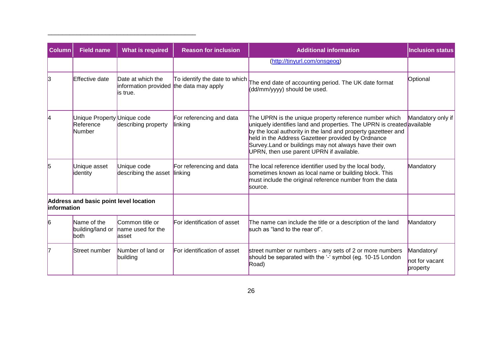| <b>Column</b>                                                        | <b>Field name</b>                                  | <b>What is required</b>                                                   | <b>Reason for inclusion</b>         | <b>Additional information</b>                                                                                                                                                                                                                                                                                                                                  | <b>Inclusion status</b>                  |
|----------------------------------------------------------------------|----------------------------------------------------|---------------------------------------------------------------------------|-------------------------------------|----------------------------------------------------------------------------------------------------------------------------------------------------------------------------------------------------------------------------------------------------------------------------------------------------------------------------------------------------------------|------------------------------------------|
|                                                                      |                                                    |                                                                           |                                     | (http://tinyurl.com/onsgeog)                                                                                                                                                                                                                                                                                                                                   |                                          |
| l3                                                                   | Effective date                                     | Date at which the<br>information provided the data may apply<br>lis true. | To identify the date to which       | The end date of accounting period. The UK date format<br>(dd/mm/yyyy) should be used.                                                                                                                                                                                                                                                                          | Optional                                 |
| 14                                                                   | Unique Property Unique code<br>Reference<br>Number | describing property                                                       | For referencing and data<br>linking | The UPRN is the unique property reference number which<br>uniquely identifies land and properties. The UPRN is created available<br>by the local authority in the land and property gazetteer and<br>held in the Address Gazetteer provided by Ordnance<br>Survey. Land or buildings may not always have their own<br>UPRN, then use parent UPRN if available. | Mandatory only if                        |
| 5                                                                    | Unique asset<br>identity                           | Unique code<br>describing the asset                                       | For referencing and data<br>linking | The local reference identifier used by the local body,<br>sometimes known as local name or building block. This<br>must include the original reference number from the data<br>source.                                                                                                                                                                         | Mandatory                                |
| Address and basic point level location<br><i><b>linformation</b></i> |                                                    |                                                                           |                                     |                                                                                                                                                                                                                                                                                                                                                                |                                          |
| 6                                                                    | Name of the<br>building/land or<br>both            | Common title or<br>name used for the<br>asset                             | For identification of asset         | The name can include the title or a description of the land<br>such as "land to the rear of".                                                                                                                                                                                                                                                                  | Mandatory                                |
| 17                                                                   | Street number                                      | Number of land or<br>building                                             | For identification of asset         | street number or numbers - any sets of 2 or more numbers<br>should be separated with the '-' symbol (eg. 10-15 London<br>Road)                                                                                                                                                                                                                                 | Mandatory/<br>not for vacant<br>property |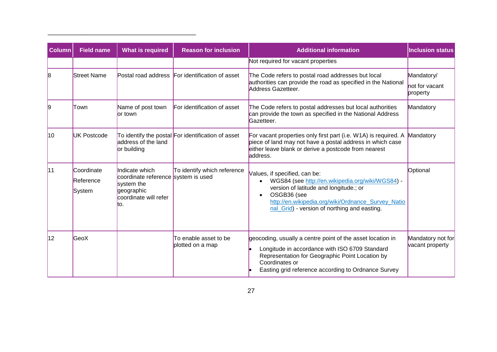| <b>Column</b>    | <b>Field name</b>                 | <b>What is required</b>                                                                                            | <b>Reason for inclusion</b>                        | <b>Additional information</b>                                                                                                                                                                                                                    | <b>Inclusion status</b>                  |
|------------------|-----------------------------------|--------------------------------------------------------------------------------------------------------------------|----------------------------------------------------|--------------------------------------------------------------------------------------------------------------------------------------------------------------------------------------------------------------------------------------------------|------------------------------------------|
|                  |                                   |                                                                                                                    |                                                    | Not required for vacant properties                                                                                                                                                                                                               |                                          |
| 8                | <b>Street Name</b>                |                                                                                                                    | Postal road address For identification of asset    | The Code refers to postal road addresses but local<br>authorities can provide the road as specified in the National<br>Address Gazetteer.                                                                                                        | Mandatory/<br>not for vacant<br>property |
| 19               | Town                              | Name of post town<br>lor town                                                                                      | For identification of asset                        | The Code refers to postal addresses but local authorities<br>can provide the town as specified in the National Address<br>Gazetteer.                                                                                                             | Mandatory                                |
| 10 <sup>10</sup> | <b>UK Postcode</b>                | address of the land<br>or building                                                                                 | To identify the postal For identification of asset | For vacant properties only first part (i.e. W1A) is required. A<br>piece of land may not have a postal address in which case<br>either leave blank or derive a postcode from nearest<br>laddress.                                                | Mandatory                                |
| 11               | Coordinate<br>Reference<br>System | Indicate which<br>coordinate reference system is used<br>system the<br>geographic<br>coordinate will refer<br>lto. | To identify which reference                        | Values, if specified, can be:<br>WGS84 (see http://en.wikipedia.org/wiki/WGS84) -<br>version of latitude and longitude.; or<br>OSGB36 (see<br>http://en.wikipedia.org/wiki/Ordnance Survey Natio<br>nal Grid) - version of northing and easting. | Optional                                 |
| 12               | GeoX                              |                                                                                                                    | To enable asset to be<br>plotted on a map          | geocoding, usually a centre point of the asset location in<br>Longitude in accordance with ISO 6709 Standard<br>Representation for Geographic Point Location by<br>Coordinates or<br>Easting grid reference according to Ordnance Survey         | Mandatory not for<br>vacant property     |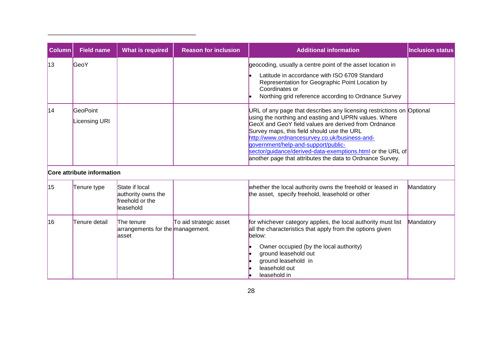| Column | <b>Field name</b>                | <b>What is required</b>                                              | <b>Reason for inclusion</b> | <b>Additional information</b>                                                                                                                                                                                                                                                                                                                                                                                                                           | <b>Inclusion status</b> |
|--------|----------------------------------|----------------------------------------------------------------------|-----------------------------|---------------------------------------------------------------------------------------------------------------------------------------------------------------------------------------------------------------------------------------------------------------------------------------------------------------------------------------------------------------------------------------------------------------------------------------------------------|-------------------------|
| 13     | GeoY                             |                                                                      |                             | geocoding, usually a centre point of the asset location in<br>Latitude in accordance with ISO 6709 Standard<br>Representation for Geographic Point Location by<br>Coordinates or<br>Northing grid reference according to Ordnance Survey                                                                                                                                                                                                                |                         |
| 14     | GeoPoint<br><b>Licensing URI</b> |                                                                      |                             | URL of any page that describes any licensing restrictions on Optional<br>using the northing and easting and UPRN values. Where<br>GeoX and GeoY field values are derived from Ordnance<br>Survey maps, this field should use the URL<br>http://www.ordnancesurvey.co.uk/business-and-<br>government/help-and-support/public-<br>sector/guidance/derived-data-exemptions.html or the URL of<br>another page that attributes the data to Ordnance Survey. |                         |
|        | Core attribute information       |                                                                      |                             |                                                                                                                                                                                                                                                                                                                                                                                                                                                         |                         |
| 15     | Tenure type                      | State if local<br>authority owns the<br>freehold or the<br>leasehold |                             | whether the local authority owns the freehold or leased in<br>the asset, specify freehold, leasehold or other                                                                                                                                                                                                                                                                                                                                           | Mandatory               |
| 16     | Tenure detail                    | The tenure<br>arrangements for the management.<br>lasset             | To aid strategic asset      | for whichever category applies, the local authority must list<br>all the characteristics that apply from the options given<br>below:<br>Owner occupied (by the local authority)<br>ground leasehold out<br>ground leasehold in<br>leasehold out<br>leasehold in                                                                                                                                                                                         | Mandatory               |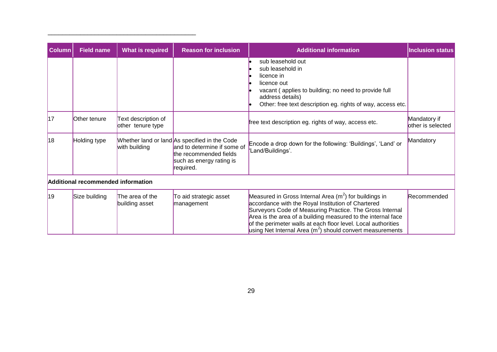| <b>Column</b> | <b>Field name</b>                  | <b>What is required</b>                  | <b>Reason for inclusion</b>                                                                                                                     | <b>Additional information</b>                                                                                                                                                                                                                                                                                                                                             | <b>Inclusion status</b>            |
|---------------|------------------------------------|------------------------------------------|-------------------------------------------------------------------------------------------------------------------------------------------------|---------------------------------------------------------------------------------------------------------------------------------------------------------------------------------------------------------------------------------------------------------------------------------------------------------------------------------------------------------------------------|------------------------------------|
|               |                                    |                                          |                                                                                                                                                 | sub leasehold out<br>sub leasehold in<br>licence in<br>licence out<br>vacant (applies to building; no need to provide full<br>address details)<br>Other: free text description eg. rights of way, access etc.                                                                                                                                                             |                                    |
| 17            | Other tenure                       | Text description of<br>other tenure type |                                                                                                                                                 | free text description eg. rights of way, access etc.                                                                                                                                                                                                                                                                                                                      | Mandatory if<br>lother is selected |
| 18            | Holding type                       | with building                            | Whether land or land As specified in the Code<br>and to determine if some of<br>the recommended fields<br>such as energy rating is<br>required. | Encode a drop down for the following: 'Buildings', 'Land' or<br>'Land/Buildings'.                                                                                                                                                                                                                                                                                         | Mandatory                          |
|               | Additional recommended information |                                          |                                                                                                                                                 |                                                                                                                                                                                                                                                                                                                                                                           |                                    |
| 19            | Size building                      | The area of the<br>building asset        | To aid strategic asset<br>management                                                                                                            | Measured in Gross Internal Area $(m^2)$ for buildings in<br>accordance with the Royal Institution of Chartered<br>Surveyors Code of Measuring Practice. The Gross Internal<br>Area is the area of a building measured to the internal face<br>of the perimeter walls at each floor level. Local authorities<br>using Net Internal Area $(m2)$ should convert measurements | Recommended                        |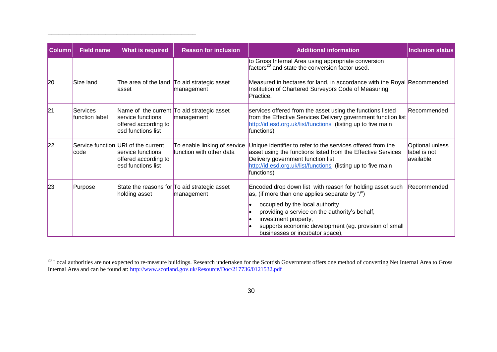| <b>Column</b> | <b>Field name</b>          | <b>What is required</b>                                                                                | <b>Reason for inclusion</b>                                | <b>Additional information</b>                                                                                                                                                                                                                                                                                        | <b>Inclusion status</b>                      |
|---------------|----------------------------|--------------------------------------------------------------------------------------------------------|------------------------------------------------------------|----------------------------------------------------------------------------------------------------------------------------------------------------------------------------------------------------------------------------------------------------------------------------------------------------------------------|----------------------------------------------|
|               |                            |                                                                                                        |                                                            | to Gross Internal Area using appropriate conversion<br>factors <sup>20</sup> and state the conversion factor used.                                                                                                                                                                                                   |                                              |
| 20            | Size land                  | lasset                                                                                                 | The area of the land To aid strategic asset<br>management  | Measured in hectares for land, in accordance with the Royal Recommended<br>Institution of Chartered Surveyors Code of Measuring<br>Practice.                                                                                                                                                                         |                                              |
| 21            | Services<br>function label | service functions<br>offered according to<br>esd functions list                                        | Name of the current To aid strategic asset<br>management   | services offered from the asset using the functions listed<br>from the Effective Services Delivery government function list<br>http://id.esd.org.uk/list/functions (listing up to five main<br>functions)                                                                                                            | Recommended                                  |
| 22            | lcode                      | Service function URI of the current<br>service functions<br>offered according to<br>esd functions list | To enable linking of service<br>function with other data   | Unique identifier to refer to the services offered from the<br>asset using the functions listed from the Effective Services<br>Delivery government function list<br>http://id.esd.org.uk/list/functions (listing up to five main<br>functions)                                                                       | Optional unless<br>label is not<br>available |
| 23            | Purpose                    | holding asset                                                                                          | State the reasons for To aid strategic asset<br>management | Encoded drop down list with reason for holding asset such<br>as, (if more than one applies separate by "/")<br>occupied by the local authority<br>providing a service on the authority's behalf,<br>investment property,<br>supports economic development (eg. provision of small<br>businesses or incubator space), | Recommended                                  |

 $^{20}$  Local authorities are not expected to re-measure buildings. Research undertaken for the Scottish Government offers one method of converting Net Internal Area to Gross Internal Area and can be found at:<http://www.scotland.gov.uk/Resource/Doc/217736/0121532.pdf>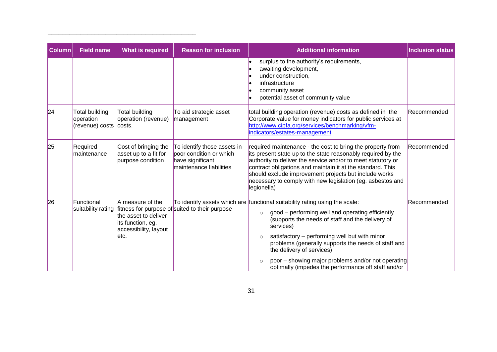| <b>Column</b> | <b>Field name</b>                                     | <b>What is required</b>                                                                         | <b>Reason for inclusion</b>                                                                           | <b>Additional information</b>                                                                                                                                                                                                                                                                                                                                                                                                                                                       | <b>Inclusion status</b> |
|---------------|-------------------------------------------------------|-------------------------------------------------------------------------------------------------|-------------------------------------------------------------------------------------------------------|-------------------------------------------------------------------------------------------------------------------------------------------------------------------------------------------------------------------------------------------------------------------------------------------------------------------------------------------------------------------------------------------------------------------------------------------------------------------------------------|-------------------------|
|               |                                                       |                                                                                                 |                                                                                                       | surplus to the authority's requirements,<br>awaiting development,<br>under construction,<br>infrastructure<br>community asset<br>potential asset of community value                                                                                                                                                                                                                                                                                                                 |                         |
| 24            | Total building<br>operation<br>(revenue) costs costs. | Total building<br>operation (revenue)                                                           | To aid strategic asset<br>management                                                                  | total building operation (revenue) costs as defined in the<br>Corporate value for money indicators for public services at<br>http://www.cipfa.org/services/benchmarking/vfm-<br>indicators/estates-management                                                                                                                                                                                                                                                                       | Recommended             |
| 25            | Required<br>maintenance                               | Cost of bringing the<br>asset up to a fit for<br>purpose condition                              | To identify those assets in<br>poor condition or which<br>have significant<br>maintenance liabilities | required maintenance - the cost to bring the property from<br>its present state up to the state reasonably required by the<br>authority to deliver the service and/or to meet statutory or<br>contract obligations and maintain it at the standard. This<br>should exclude improvement projects but include works<br>necessary to comply with new legislation (eg. asbestos and<br>legionella)                                                                                      | Recommended             |
| 26            | Functional<br>suitability rating                      | A measure of the<br>the asset to deliver<br>its function, eg.<br>accessibility, layout<br>letc. | fitness for purpose of suited to their purpose                                                        | To identify assets which are functional suitability rating using the scale:<br>good – performing well and operating efficiently<br>$\circ$<br>(supports the needs of staff and the delivery of<br>services)<br>satisfactory - performing well but with minor<br>$\circ$<br>problems (generally supports the needs of staff and<br>the delivery of services)<br>poor – showing major problems and/or not operating<br>$\circ$<br>optimally (impedes the performance off staff and/or | Recommended             |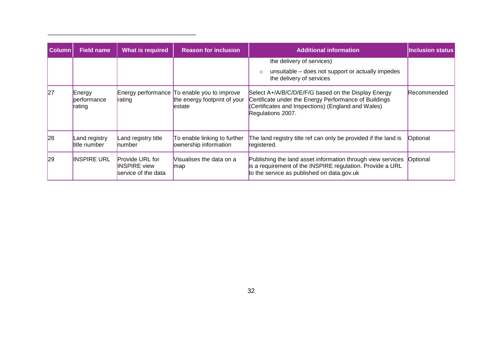| <b>Column</b> | <b>What is required</b><br><b>Field name</b> |                                                                      | <b>Reason for inclusion</b>                                                            | <b>Additional information</b>                                                                                                                                                           | <b>Inclusion status</b> |
|---------------|----------------------------------------------|----------------------------------------------------------------------|----------------------------------------------------------------------------------------|-----------------------------------------------------------------------------------------------------------------------------------------------------------------------------------------|-------------------------|
|               |                                              |                                                                      |                                                                                        | the delivery of services)                                                                                                                                                               |                         |
|               |                                              |                                                                      |                                                                                        | unsuitable – does not support or actually impedes<br>$\circ$<br>the delivery of services                                                                                                |                         |
| 27            | Energy<br>performance<br>rating              | rating                                                               | Energy performance To enable you to improve<br>the energy footprint of your<br>lestate | Select A+/A/B/C/D/E/F/G based on the Display Energy<br>Certificate under the Energy Performance of Buildings<br>(Certificates and Inspections) (England and Wales)<br>Regulations 2007. | <b>Recommended</b>      |
| 28            | Land registry<br>title number                | Land registry title<br><b>number</b>                                 | To enable linking to further<br>ownership information                                  | The land registry title ref can only be provided if the land is<br>registered.                                                                                                          | Optional                |
| 29            | <b>INSPIRE URL</b>                           | <b>Provide URL for</b><br><b>INSPIRE</b> view<br>service of the data | Visualises the data on a<br>map                                                        | Publishing the land asset information through view services<br>is a requirement of the INSPIRE regulation. Provide a URL<br>to the service as published on data.gov.uk                  | Optional                |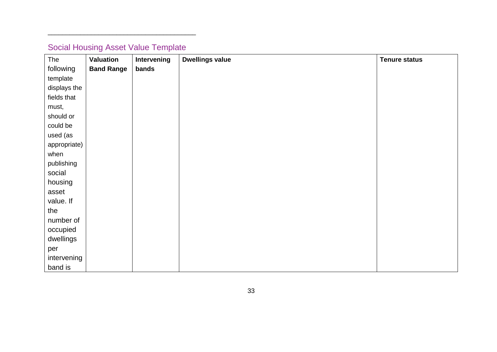# Social Housing Asset Value Template

<span id="page-32-0"></span>

| The          | <b>Valuation</b>  | Intervening | <b>Dwellings value</b> | <b>Tenure status</b> |
|--------------|-------------------|-------------|------------------------|----------------------|
| following    | <b>Band Range</b> | bands       |                        |                      |
| template     |                   |             |                        |                      |
| displays the |                   |             |                        |                      |
| fields that  |                   |             |                        |                      |
| must,        |                   |             |                        |                      |
| should or    |                   |             |                        |                      |
| could be     |                   |             |                        |                      |
| used (as     |                   |             |                        |                      |
| appropriate) |                   |             |                        |                      |
| when         |                   |             |                        |                      |
| publishing   |                   |             |                        |                      |
| social       |                   |             |                        |                      |
| housing      |                   |             |                        |                      |
| asset        |                   |             |                        |                      |
| value. If    |                   |             |                        |                      |
| the          |                   |             |                        |                      |
| number of    |                   |             |                        |                      |
| occupied     |                   |             |                        |                      |
| dwellings    |                   |             |                        |                      |
| per          |                   |             |                        |                      |
| intervening  |                   |             |                        |                      |
| band is      |                   |             |                        |                      |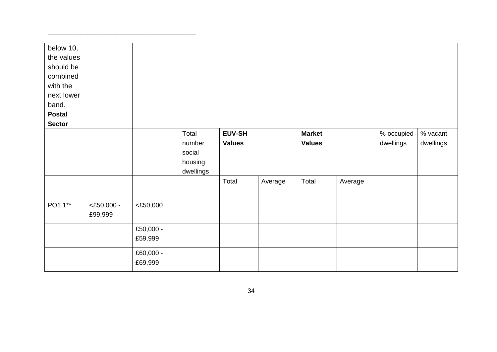| below 10,<br>the values<br>should be<br>combined<br>with the<br>next lower<br>band.<br><b>Postal</b> |                          |                      |                                                   |                         |         |                                |         |                         |                       |
|------------------------------------------------------------------------------------------------------|--------------------------|----------------------|---------------------------------------------------|-------------------------|---------|--------------------------------|---------|-------------------------|-----------------------|
| <b>Sector</b>                                                                                        |                          |                      |                                                   |                         |         |                                |         |                         |                       |
|                                                                                                      |                          |                      | Total<br>number<br>social<br>housing<br>dwellings | EUV-SH<br><b>Values</b> |         | <b>Market</b><br><b>Values</b> |         | % occupied<br>dwellings | % vacant<br>dwellings |
|                                                                                                      |                          |                      |                                                   | Total                   | Average | Total                          | Average |                         |                       |
| PO1 1**                                                                                              | $<$ £50,000 -<br>£99,999 | $<$ £50,000          |                                                   |                         |         |                                |         |                         |                       |
|                                                                                                      |                          | £50,000 -<br>£59,999 |                                                   |                         |         |                                |         |                         |                       |
|                                                                                                      |                          | £60,000 -<br>£69,999 |                                                   |                         |         |                                |         |                         |                       |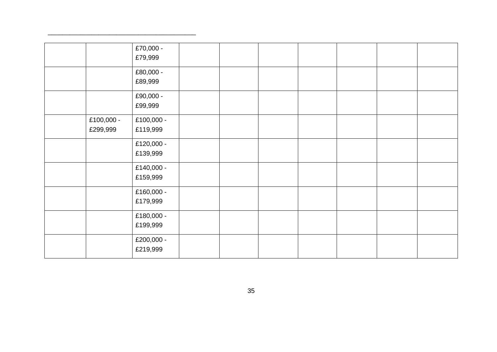|                        | £70,000 -<br>£79,999   |  |  |  |  |
|------------------------|------------------------|--|--|--|--|
|                        | £80,000 -<br>£89,999   |  |  |  |  |
|                        | £90,000 -<br>£99,999   |  |  |  |  |
| £100,000 -<br>£299,999 | £100,000 -<br>£119,999 |  |  |  |  |
|                        | £120,000 -<br>£139,999 |  |  |  |  |
|                        | £140,000 -<br>£159,999 |  |  |  |  |
|                        | £160,000 -<br>£179,999 |  |  |  |  |
|                        | £180,000 -<br>£199,999 |  |  |  |  |
|                        | £200,000 -<br>£219,999 |  |  |  |  |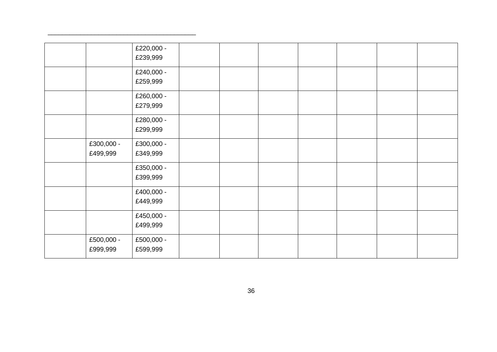|                        | £220,000 -<br>£239,999 |  |  |  |  |
|------------------------|------------------------|--|--|--|--|
|                        | £240,000 -<br>£259,999 |  |  |  |  |
|                        | £260,000 -<br>£279,999 |  |  |  |  |
|                        | £280,000 -<br>£299,999 |  |  |  |  |
| £300,000 -<br>£499,999 | £300,000 -<br>£349,999 |  |  |  |  |
|                        | £350,000 -<br>£399,999 |  |  |  |  |
|                        | £400,000 -<br>£449,999 |  |  |  |  |
|                        | £450,000 -<br>£499,999 |  |  |  |  |
| £500,000 -<br>£999,999 | £500,000 -<br>£599,999 |  |  |  |  |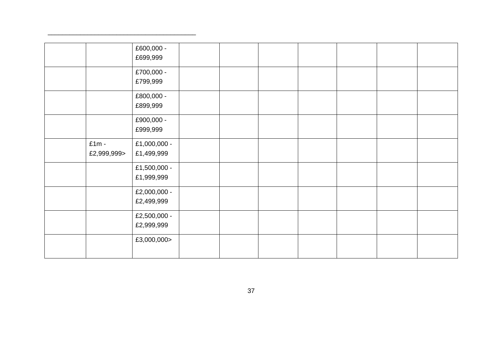|                        | £600,000 -<br>£699,999     |  |  |  |  |
|------------------------|----------------------------|--|--|--|--|
|                        | £700,000 -<br>£799,999     |  |  |  |  |
|                        | £800,000 -<br>£899,999     |  |  |  |  |
|                        | £900,000 -<br>£999,999     |  |  |  |  |
| $£1m -$<br>£2,999,999> | £1,000,000 -<br>£1,499,999 |  |  |  |  |
|                        | £1,500,000 -<br>£1,999,999 |  |  |  |  |
|                        | £2,000,000 -<br>£2,499,999 |  |  |  |  |
|                        | £2,500,000 -<br>£2,999,999 |  |  |  |  |
|                        | £3,000,000>                |  |  |  |  |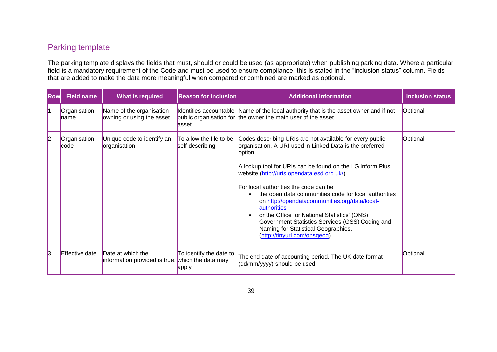## Parking template

\_\_\_\_\_\_\_\_\_\_\_\_\_\_\_\_\_\_\_\_\_\_\_\_\_\_\_\_\_\_\_\_\_\_\_\_\_\_\_\_\_

The parking template displays the fields that must, should or could be used (as appropriate) when publishing parking data. Where a particular field is a mandatory requirement of the Code and must be used to ensure compliance, this is stated in the "inclusion status" column. Fields that are added to make the data more meaningful when compared or combined are marked as optional.

<span id="page-38-0"></span>

| Rowl | <b>Field name</b>     | <b>What is required</b>                                               | <b>Reason for inclusion</b>                | <b>Additional information</b>                                                                                                                                                                                                                                                                                                                                                                                                                                                                                                                                                                      | <b>Inclusion status</b> |
|------|-----------------------|-----------------------------------------------------------------------|--------------------------------------------|----------------------------------------------------------------------------------------------------------------------------------------------------------------------------------------------------------------------------------------------------------------------------------------------------------------------------------------------------------------------------------------------------------------------------------------------------------------------------------------------------------------------------------------------------------------------------------------------------|-------------------------|
|      | Organisation<br>∥name | Name of the organisation<br>owning or using the asset                 | asset                                      | Identifies accountable Name of the local authority that is the asset owner and if not<br>public organisation for the owner the main user of the asset.                                                                                                                                                                                                                                                                                                                                                                                                                                             | Optional                |
| l2   | Organisation<br>code  | Unique code to identify an<br>organisation                            | To allow the file to be<br>self-describing | Codes describing URIs are not available for every public<br>organisation. A URI used in Linked Data is the preferred<br>option.<br>A lookup tool for URIs can be found on the LG Inform Plus<br>website (http://uris.opendata.esd.org.uk/)<br>For local authorities the code can be<br>the open data communities code for local authorities<br>$\bullet$<br>on http://opendatacommunities.org/data/local-<br>authorities<br>or the Office for National Statistics' (ONS)<br>Government Statistics Services (GSS) Coding and<br>Naming for Statistical Geographies.<br>(http://tinyurl.com/onsgeog) | Optional                |
| lз   | <b>Effective date</b> | Date at which the<br>information provided is true. which the data may | To identify the date to<br>apply           | The end date of accounting period. The UK date format<br>(dd/mm/yyyy) should be used.                                                                                                                                                                                                                                                                                                                                                                                                                                                                                                              | Optional                |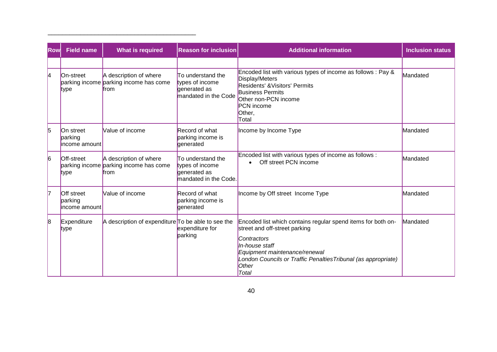| <b>Row</b> | <b>Field name</b>                             | <b>What is required</b>                                                         | <b>Reason for inclusion</b>                                                   | <b>Additional information</b>                                                                                                                                                                                                                                     | <b>Inclusion status</b> |
|------------|-----------------------------------------------|---------------------------------------------------------------------------------|-------------------------------------------------------------------------------|-------------------------------------------------------------------------------------------------------------------------------------------------------------------------------------------------------------------------------------------------------------------|-------------------------|
|            |                                               |                                                                                 |                                                                               |                                                                                                                                                                                                                                                                   |                         |
| 4          | On-street<br>∦type                            | A description of where<br>parking income parking income has come<br><b>from</b> | To understand the<br>types of income<br>generated as<br>mandated in the Code  | Encoded list with various types of income as follows : Pay &<br>Display/Meters<br>Residents' & Visitors' Permits<br><b>Business Permits</b><br>Other non-PCN income<br>PCN income<br>Other,<br>Total                                                              | Mandated                |
| 5          | On street<br>parking<br>income amount         | Value of income                                                                 | Record of what<br>parking income is<br>qenerated                              | Income by Income Type                                                                                                                                                                                                                                             | Mandated                |
| 6          | Off-street<br>∥type                           | A description of where<br>parking income parking income has come<br>from        | To understand the<br>types of income<br>generated as<br>mandated in the Code. | Encoded list with various types of income as follows :<br>Off street PCN income                                                                                                                                                                                   | Mandated                |
| 17         | <b>Off street</b><br>parking<br>income amount | Value of income                                                                 | Record of what<br>parking income is<br>generated                              | Income by Off street Income Type                                                                                                                                                                                                                                  | Mandated                |
| 8          | Expenditure<br>type                           | A description of expenditure To be able to see the                              | expenditure for<br>parking                                                    | Encoded list which contains regular spend items for both on-<br>street and off-street parking<br>Contractors<br>In-house staff<br>Equipment maintenance/renewal<br>London Councils or Traffic Penalties Tribunal (as appropriate)<br><b>Other</b><br><b>Total</b> | Mandated                |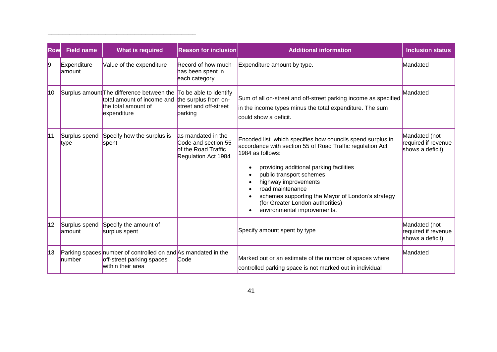| <b>Rowl</b>      | <b>Field name</b>        | <b>What is required</b>                                                                                                                                   | <b>Reason for inclusion</b>                                                             | <b>Additional information</b>                                                                                                                                                                                                                                                                                                                                                                                    | <b>Inclusion status</b>                                  |
|------------------|--------------------------|-----------------------------------------------------------------------------------------------------------------------------------------------------------|-----------------------------------------------------------------------------------------|------------------------------------------------------------------------------------------------------------------------------------------------------------------------------------------------------------------------------------------------------------------------------------------------------------------------------------------------------------------------------------------------------------------|----------------------------------------------------------|
| 9                | Expenditure<br>lamount   | Value of the expenditure                                                                                                                                  | Record of how much<br>has been spent in<br>each category                                | Expenditure amount by type.                                                                                                                                                                                                                                                                                                                                                                                      | Mandated                                                 |
| 10 <sup>10</sup> |                          | Surplus amount The difference between the To be able to identify<br>total amount of income and the surplus from on-<br>the total amount of<br>expenditure | street and off-street<br>parking                                                        | Sum of all on-street and off-street parking income as specified<br>in the income types minus the total expenditure. The sum<br>could show a deficit.                                                                                                                                                                                                                                                             | Mandated                                                 |
| 11               | Surplus spend<br>type    | Specify how the surplus is<br>spent                                                                                                                       | as mandated in the<br>Code and section 55<br>of the Road Traffic<br>Regulation Act 1984 | Encoded list which specifies how councils spend surplus in<br>accordance with section 55 of Road Traffic regulation Act<br>1984 as follows:<br>providing additional parking facilities<br>$\bullet$<br>public transport schemes<br>highway improvements<br>$\bullet$<br>road maintenance<br>schemes supporting the Mayor of London's strategy<br>(for Greater London authorities)<br>environmental improvements. | Mandated (not<br>required if revenue<br>shows a deficit) |
| 12               | Surplus spend<br>lamount | Specify the amount of<br>surplus spent                                                                                                                    |                                                                                         | Specify amount spent by type                                                                                                                                                                                                                                                                                                                                                                                     | Mandated (not<br>required if revenue<br>shows a deficit) |
| 13               | number                   | Parking spaces number of controlled on and As mandated in the<br>off-street parking spaces<br>within their area                                           | Code                                                                                    | Marked out or an estimate of the number of spaces where<br>controlled parking space is not marked out in individual                                                                                                                                                                                                                                                                                              | Mandated                                                 |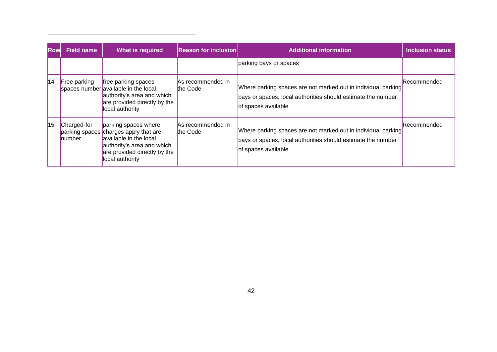| <b>Row</b> | <b>Field name</b>              | <b>What is required</b>                                                                                                                                                  | <b>Reason for inclusion</b>   | <b>Additional information</b>                                                                                                                        | <b>Inclusion status</b> |
|------------|--------------------------------|--------------------------------------------------------------------------------------------------------------------------------------------------------------------------|-------------------------------|------------------------------------------------------------------------------------------------------------------------------------------------------|-------------------------|
|            |                                |                                                                                                                                                                          |                               | parking bays or spaces                                                                                                                               |                         |
| 114        | Free parking                   | free parking spaces<br>spaces number available in the local<br>authority's area and which<br>are provided directly by the<br>local authority                             | As recommended in<br>the Code | Where parking spaces are not marked out in individual parking<br>bays or spaces, local authorities should estimate the number<br>of spaces available | <b>Recommended</b>      |
| 15         | Charged-for<br><b>I</b> number | parking spaces where<br>parking spaces charges apply that are<br>available in the local<br>authority's area and which<br>are provided directly by the<br>local authority | As recommended in<br>the Code | Where parking spaces are not marked out in individual parking<br>bays or spaces, local authorities should estimate the number<br>of spaces available | <b>Recommended</b>      |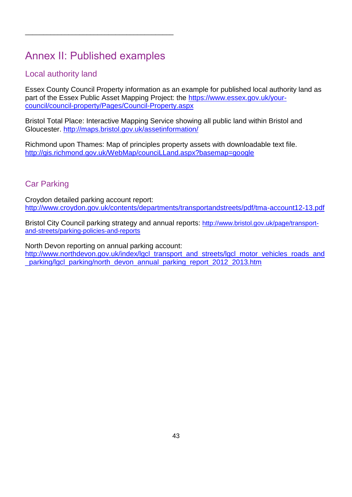# <span id="page-42-0"></span>Annex II: Published examples

\_\_\_\_\_\_\_\_\_\_\_\_\_\_\_\_\_\_\_\_\_\_\_\_\_\_\_\_\_\_\_\_\_\_\_\_\_\_\_\_\_

## <span id="page-42-1"></span>Local authority land

Essex County Council Property information as an example for published local authority land as part of the Essex Public Asset Mapping Project: the [https://www.essex.gov.uk/your](https://www.essex.gov.uk/your-council/council-property/Pages/Council-Property.aspx)[council/council-property/Pages/Council-Property.aspx](https://www.essex.gov.uk/your-council/council-property/Pages/Council-Property.aspx)

Bristol Total Place: Interactive Mapping Service showing all public land within Bristol and Gloucester.<http://maps.bristol.gov.uk/assetinformation/>

Richmond upon Thames: Map of principles property assets with downloadable text file. <http://gis.richmond.gov.uk/WebMap/counciLLand.aspx?basemap=google>

## <span id="page-42-2"></span>Car Parking

Croydon detailed parking account report: <http://www.croydon.gov.uk/contents/departments/transportandstreets/pdf/tma-account12-13.pdf>

Bristol City Council parking strategy and annual reports: [http://www.bristol.gov.uk/page/transport](http://www.bristol.gov.uk/page/transport-and-streets/parking-policies-and-reports)[and-streets/parking-policies-and-reports](http://www.bristol.gov.uk/page/transport-and-streets/parking-policies-and-reports)

North Devon reporting on annual parking account: [http://www.northdevon.gov.uk/index/lgcl\\_transport\\_and\\_streets/lgcl\\_motor\\_vehicles\\_roads\\_and](http://www.northdevon.gov.uk/index/lgcl_transport_and_streets/lgcl_motor_vehicles_roads_and_parking/lgcl_parking/north_devon_annual_parking_report_2012_2013.htm) [\\_parking/lgcl\\_parking/north\\_devon\\_annual\\_parking\\_report\\_2012\\_2013.htm](http://www.northdevon.gov.uk/index/lgcl_transport_and_streets/lgcl_motor_vehicles_roads_and_parking/lgcl_parking/north_devon_annual_parking_report_2012_2013.htm)